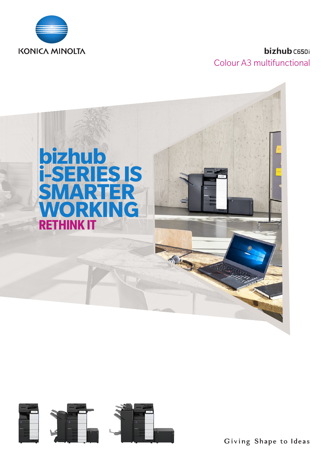

# bizhub C650i Colour A3 multifunctional





Giving Shape to Ideas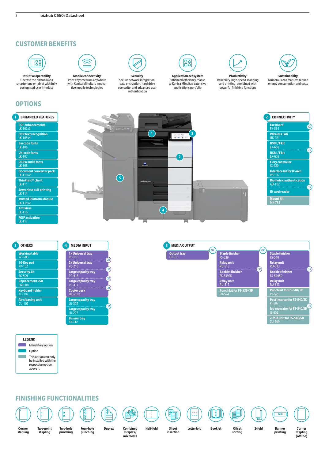## **CUSTOMER BENEFITS**



**Intuitive operability** Operate the bizhub like a smartphone or tablet with fully customised user interface

## **OPTIONS**



**Mobile connectivity** Print anytime from anywhere with Konica Minolta´s innova-<br>tive mobile technologies



Secure network integration, data encryption, hard drive overwrite, and advanced user authentication



**Application ecosystem** Enhanced efficiency thanks to Konica Minolta's extensive applications portfolio



**Productivity** Reliability, high-speed scanning and printing, combined with powerful finishing functions

**Sustainability** Numerous eco features reduce energy consumption and costs



**Air cleaning unit** CU-102

| 4 | <b>MEDIA INPUT</b>                                |
|---|---------------------------------------------------|
|   | <b>1x Universal tray</b><br>PC-116                |
|   | or'<br>2x Universal tray<br>PC-216                |
|   | <b>OR</b><br>Large capacity tray<br>PC-416        |
|   | OR <sup>1</sup><br>Large capacity tray<br>PC-417  |
|   | <b>OR</b><br><b>Copier desk</b><br><b>DK-516x</b> |
|   | <b>Large capacity tray</b><br>LU-302              |
|   | <b>OR</b><br><b>Large capacity tray</b><br>LU-207 |
|   | <b>Banner tray</b><br>BT-C1e                      |

**Output tray** OT-513 **MEDIA OUTPUT MEDIA OUTPUT Staple finisher**<br>FS-539 **Relay unit** RU-513 **Staple finisher**  FS-536 **finisher** FS-540**Relay unit**  RU-513 **Staple/booklet finisher**  FS-536SD **Booklet finisher** FS-540SD**Relay unit**  RU-513 **Punch kit for FS-540/SD**<br>PK-526 OR OR OR **Staple finisher** FS-539**Relay unit**  RU-513 **Booklet finisher** FS-539SD **Relay unit**  RU-513 **Punch kit for FS-539/SD** PK-524 OR **5 Post inserter for FS-540/SD** PI-507 **Job separator for FS-540/SD** JS-602 **Z-fold unit for FS-540/SD** ZU-609 OR

**LEGEND Mandatory option D** Option  $\mathcal{L}_{\mathcal{A}}$ This option can only be installed with the respective option above it

## **FINISHING FUNCTIONALITIES**

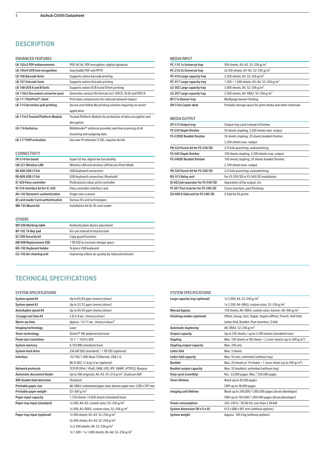# **DESCRIPTION**

## ENHANCED FEATURES

| <b>FIVORIVALE LI FEALURES</b>           |                                                                       |
|-----------------------------------------|-----------------------------------------------------------------------|
| <b>LK-102v3 PDF enhancements</b>        | PDF/A(1b), PDF encryption, digital signature                          |
| LK-105v4 OCR text recognition           | Searchable PDF and PPTX                                               |
| <b>LK-106 Barcode fonts</b>             | Supports native barcode printing                                      |
| <b>LK-107 Unicode fonts</b>             | Supports native Unicode printing                                      |
| LK-108 OCR A and B fonts                | Supports native OCR A and B font printing                             |
| LK-110v2 Document converter pack        | Generates various file formats incl. DOCX, XLSX and PDF/A             |
| I K-111 ThinPrint® client               | Print data compression for reduced network impact                     |
| LK-114 Serverless pull printing         | Secure and Follow Me printing solution requiring no server            |
|                                         | application                                                           |
| <b>LK-115v2 Trusted Platform Module</b> | Trusted Platform Module for protection of data encryption and         |
|                                         | decryption                                                            |
| <b>LK-116 Antivirus</b>                 | Bitdefender <sup>®</sup> antivirus provides real time scanning of all |
|                                         | incoming and outgoing data                                            |
| <b>LK-117 FOIP activation</b>           | Fax over IP networks (T.38), requires fax kit                         |
|                                         |                                                                       |

## CONNECTIVITY

| Super G3 fax, digital fax functioality          |
|-------------------------------------------------|
| Wireless LAN and wireless LAN Access Point Mode |
| USB keyboard connection                         |
| USB keyboard connection; Bluetooth              |
| Professional colour print controller            |
| Fiery controller interface card                 |
| Finger vein scanner                             |
| Various ID card technologies                    |
| Installation kit for ID card reader             |
|                                                 |

## **OTHERS**

| WT-506 Working table            | Authentication device placement                  |
|---------------------------------|--------------------------------------------------|
| KP-102 10-Key pad               | For use instead of touchscreen                   |
| SC-509 Security kit             | Copy quard function                              |
| <b>EM-908 Replacement SSD</b>   | 1 TB SSD to increase storage space               |
| KH-102 Keyboard holder          | To place USB keyboard                            |
| <b>CU-102 Air cleaning unit</b> | Improving indoor air quality by reduced emission |

## MEDIA INPUT

| PC-116 1x Universal tray   | 500 sheets, A5-A3, 52-256 g/m <sup>2</sup>                 |
|----------------------------|------------------------------------------------------------|
| PC-216 2x Universal tray   | 2x 500 sheets, A5-A3, 52-256 g/m <sup>2</sup>              |
| PC-416 Large capacity tray | 2,500 sheets, A4, 52-256 g/m <sup>2</sup>                  |
| PC-417 Large capacity tray | 1,500 + 1,000 sheets, A5-A4, 52-256 g/m <sup>2</sup>       |
| LU-302 Large capacity tray | 3,000 sheets, A4, 52-256 g/m <sup>2</sup>                  |
| LU-207 Large capacity tray | 2,500 sheets, A4-SRA3, 52-256 g/m <sup>2</sup>             |
| <b>BT-C1e Banner tray</b>  | Multipage banner feeding                                   |
| DK-516x Copier desk        | Provides storage space for print media and other materials |
|                            |                                                            |

## MEDIA OUTPUT

| <b>IVILDIA OU IF U I</b>                  |                                                  |
|-------------------------------------------|--------------------------------------------------|
| OT-513 Output tray                        | Output tray used instead of finisher             |
| FS-539 Staple finisher                    | 50 sheets stapling; 3,200 sheets max. output     |
| <b>FS-539SD Booklet finisher</b>          | 50 sheets stapling; 20 sheets booklet finisher;  |
|                                           | 2,200 sheets max. output                         |
| PK-524 Punch kit for FS-539/SD            | 2/4 hole punching; autoswitching                 |
| FS-540 Staple finisher                    | 100 sheets stapling; 3,200 sheets max. output    |
| <b>FS-540SD Booklet finisher</b>          | 100 sheets stapling; 20 sheets booklet finisher; |
|                                           | 2,700 sheets max. output                         |
| PK-526 Punch kit for FS-540/SD            | 2/4 hole punching; autoswitching                 |
| RU-513 Relav unit                         | For FS-539/SD or FS-540/SD installation          |
| <b>IS-602 Job separator for FS-540/SD</b> | Separation of fax output; etc.                   |
| PI-507 Post inserter for FS-540/SD        | Cover insertion; post finishing                  |
| ZU-609 Z-fold unit for FS-540/SD          | Z-fold for A3 prints                             |
|                                           |                                                  |

# **TECHNICAL SPECIFICATIONS**

## SYSTEM SPECIFICATIONS

| System speed A4                  | Up to 65/65 ppm (mono/colour)                                     |
|----------------------------------|-------------------------------------------------------------------|
| System speed A3                  | Up to 32/32 ppm (mono/colour)                                     |
| Autoduplex speed A4              | Up to 65/65 ppm (mono/colour)                                     |
| 1st page out time A4             | 2.8/3.8 sec. (mono/colour)                                        |
| Warm-up time                     | Approx. 15/17 sec. (mono/colour) <sup>1</sup>                     |
| Imaging technology               | Laser                                                             |
| <b>Toner technology</b>          | Simitri <sup>®</sup> HD polymerised toner                         |
| Panel size/resolution            | 10.1" / 1024 x 600                                                |
| <b>System memory</b>             | 8,192 MB (standard/max)                                           |
| <b>System hard drive</b>         | 256 GB SSD (standard) / 1 TB SSD (optional)                       |
| Interface                        | 10/100/1,000-Base-T Ethernet; USB 2.0;                            |
|                                  | Wi-Fi 802.11 $b/q/n/ac$ (optional)                                |
| Network protocols                | TCP/IP (IPv4 / IPv6); SMB; LPD; IPP; SNMP; HTTP(S); Bonjour       |
| <b>Automatic document feeder</b> | Up to 300 originals; A6-A3; 35-210 $q/m^2$ ; Dualscan ADF         |
| <b>ADF</b> double feed detection | Standard                                                          |
| Printable paper size             | A6-SRA3; customized paper sizes; banner paper max. 1,200 x 297 mm |
| Printable paper weight           | 52-300 g/m <sup>2</sup>                                           |
| Paper input capacity             | 1,150 sheets / 6,650 sheets (standard/max)                        |
| Paper tray input (standard)      | 1x 500; A6-A3; custom sizes; 52-256 g/m <sup>2</sup>              |
|                                  | 1x 500; A5-SRA3; custom sizes; 52-256 g/m <sup>2</sup>            |
| Paper tray input (optional)      | 1x 500 sheets; A5-A3; 52-256 g/m <sup>2</sup>                     |
|                                  | 2x 500 sheets; A5-A3; 52-256 g/m <sup>2</sup>                     |
|                                  | 1x 2,500 sheets; A4; 52-256 g/m <sup>2</sup>                      |
|                                  | 1x 1,500 + 1x 1,000 sheets; A5-A4; 52-256 g/m <sup>2</sup>        |

## SYSTEM SPECIFICATIONS

| Large capacity tray (optional)    | 1x 3,000; A4; 52-256 g/m <sup>2</sup>                              |
|-----------------------------------|--------------------------------------------------------------------|
|                                   | 1x 2,500; A4-SRA3; custom sizes; 52-256 g/m <sup>2</sup>           |
| <b>Manual bypass</b>              | 150 sheets; A6-SRA3; custom sizes; banner; 60-300 q/m <sup>2</sup> |
| <b>Finishing modes (optional)</b> | Offset; Group; Sort; Staple; Staple (offline); Punch; Half-fold;   |
|                                   | Letter-fold; Booklet; Post insertion; Z-fold                       |
| <b>Automatic duplexing</b>        | A6-SRA3; 52-256 g/m <sup>2</sup>                                   |
| <b>Output capacity</b>            | Up to 250 sheets / up to 3,300 sheets (standard/max)               |
| <b>Stapling</b>                   | Max. 100 sheets or 98 sheets + 2 cover sheets (up to 300 $g/m^2$ ) |
| <b>Stapling output capacity</b>   | Max. 200 sets                                                      |
| Letter fold                       | Max. 3 sheets                                                      |
| Letter fold capacity              | Max. 50 sets; unlimited (without tray)                             |
| <b>Booklet</b>                    | Max. 20 sheets or 19 sheets + 1 cover sheet (up to 300 $q/m^2$ )   |
| <b>Booklet output capacity</b>    | Max. 35 booklets; unlimited (without tray)                         |
| Duty cycle (monthly)              | Rec. 53,000 pages; Max. <sup>2</sup> 250,000 pages                 |
| <b>Toner lifetime</b>             | Black up to 28,000 pages                                           |
|                                   | CMY up to 28,000 pages                                             |
| Imaging unit lifetime             | Black up to 240,000/1,000,000 pages (drum/developer)               |
|                                   | CMY up to 165,000/1,000,000 pages (drum/developer)                 |
| Power consumption                 | 220-240 V / 50/60 Hz: Less than 2.00 kW                            |
| System dimension (W x D x H)      | 615 x 688 x 961 mm (without options)                               |
| System weight                     | Approx. 100.0 kg (without options)                                 |